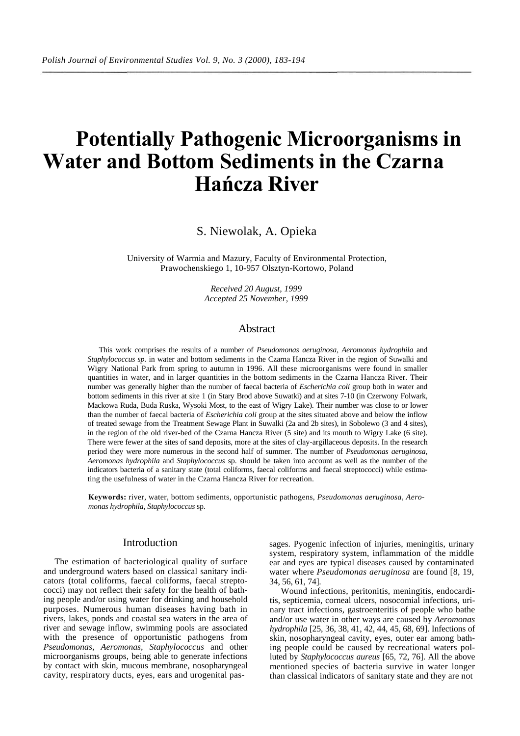# **Potentially Pathogenic Microorganisms in Water and Bottom Sediments in the Czarna Hańcza River**

S. Niewolak, A. Opieka

University of Warmia and Mazury, Faculty of Environmental Protection, Prawochenskiego 1, 10-957 Olsztyn-Kortowo, Poland

> *Received 20 August, 1999 Accepted 25 November, 1999*

# **Abstract**

This work comprises the results of a number of *Pseudomonas aeruginosa, Aeromonas hydrophila* and *Staphylococcus sp.* in water and bottom sediments in the Czarna Hancza River in the region of Suwalki and Wigry National Park from spring to autumn in 1996. All these microorganisms were found in smaller quantities in water, and in larger quantities in the bottom sediments in the Czarna Hancza River. Their number was generally higher than the number of faecal bacteria of *Escherichia coli* group both in water and bottom sediments in this river at site 1 (in Stary Brod above Suwatki) and at sites 7-10 (in Czerwony Folwark, Mackowa Ruda, Buda Ruska, Wysoki Most, to the east of Wigry Lake). Their number was close to or lower than the number of faecal bacteria of *Escherichia coli* group at the sites situated above and below the inflow of treated sewage from the Treatment Sewage Plant in Suwalki (2a and 2b sites), in Sobolewo (3 and 4 sites), in the region of the old river-bed of the Czarna Hancza River (5 site) and its mouth to Wigry Lake (6 site). There were fewer at the sites of sand deposits, more at the sites of clay-argillaceous deposits. In the research period they were more numerous in the second half of summer. The number of *Pseudomonas aeruginosa, Aeromonas hydrophila* and *Staphylococcus* sp. should be taken into account as well as the number of the indicators bacteria of a sanitary state (total coliforms, faecal coliforms and faecal streptococci) while estimating the usefulness of water in the Czarna Hancza River for recreation.

**Keywords:** river, water, bottom sediments, opportunistic pathogens, *Pseudomonas aeruginosa, Aeromonas hydrophila, Staphylococcus* sp.

# **Introduction**

The estimation of bacteriological quality of surface and underground waters based on classical sanitary indicators (total coliforms, faecal coliforms, faecal streptococci) may not reflect their safety for the health of bathing people and/or using water for drinking and household purposes. Numerous human diseases having bath in rivers, lakes, ponds and coastal sea waters in the area of river and sewage inflow, swimming pools are associated with the presence of opportunistic pathogens from *Pseudomonas, Aeromonas, Staphylococcus* and other microorganisms groups, being able to generate infections by contact with skin, mucous membrane, nosopharyngeal cavity, respiratory ducts, eyes, ears and urogenital passages. Pyogenic infection of injuries, meningitis, urinary system, respiratory system, inflammation of the middle ear and eyes are typical diseases caused by contaminated water where *Pseudomonas aeruginosa* are found [8, 19, 34, 56, 61, 74].

Wound infections, peritonitis, meningitis, endocarditis, septicemia, corneal ulcers, nosocomial infections, urinary tract infections, gastroenteritis of people who bathe and/or use water in other ways are caused by *Aeromonas hydrophila* [25, 36, 38, 41, 42, 44, 45, 68, 69]. Infections of skin, nosopharyngeal cavity, eyes, outer ear among bathing people could be caused by recreational waters polluted by *Staphylococcus aureus* [65, 72, 76]. All the above mentioned species of bacteria survive in water longer than classical indicators of sanitary state and they are not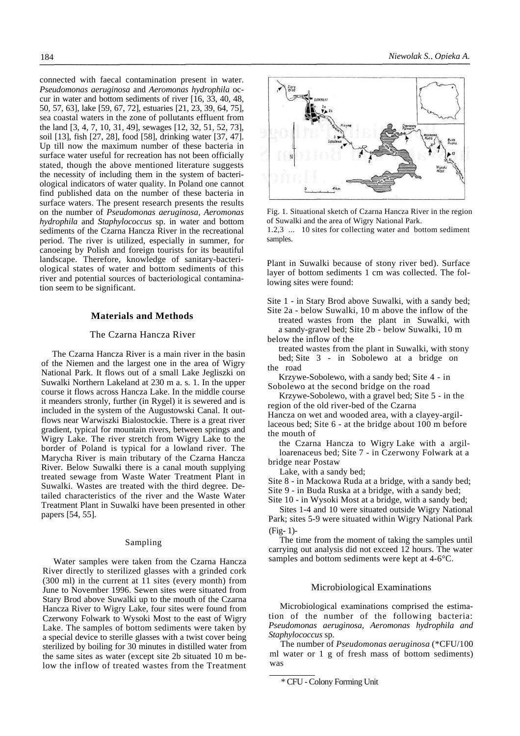connected with faecal contamination present in water. *Pseudomonas aeruginosa* and *Aeromonas hydrophila* occur in water and bottom sediments of river [16, 33, 40, 48, 50, 57, 63], lake [59, 67, 72], estuaries [21, 23, 39, 64, 75], sea coastal waters in the zone of pollutants effluent from the land [3, 4, 7, 10, 31, 49], sewages [12, 32, 51, 52, 73], soil [13], fish [27, 28], food [58], drinking water [37, 47]. Up till now the maximum number of these bacteria in surface water useful for recreation has not been officially stated, though the above mentioned literature suggests the necessity of including them in the system of bacteriological indicators of water quality. In Poland one cannot find published data on the number of these bacteria in surface waters. The present research presents the results on the number of *Pseudomonas aeruginosa, Aeromonas hydrophila* and *Staphylococcus* sp. in water and bottom sediments of the Czarna Hancza River in the recreational period. The river is utilized, especially in summer, for canoeing by Polish and foreign tourists for its beautiful landscape. Therefore, knowledge of sanitary-bacteriological states of water and bottom sediments of this river and potential sources of bacteriological contamination seem to be significant.

#### **Materials and Methods**

## The Czarna Hancza River

The Czarna Hancza River is a main river in the basin of the Niemen and the largest one in the area of Wigry National Park. It flows out of a small Lake Jegliszki on Suwalki Northern Lakeland at 230 m a. s. 1. In the upper course it flows across Hancza Lake. In the middle course it meanders stronly, further (in Rygel) it is sewered and is included in the system of the Augustowski Canal. It outflows near Warwiszki Bialostockie. There is a great river gradient, typical for mountain rivers, between springs and Wigry Lake. The river stretch from Wigry Lake to the border of Poland is typical for a lowland river. The Marycha River is main tributary of the Czarna Hancza River. Below Suwalki there is a canal mouth supplying treated sewage from Waste Water Treatment Plant in Suwalki. Wastes are treated with the third degree. Detailed characteristics of the river and the Waste Water Treatment Plant in Suwalki have been presented in other papers [54, 55].

#### Sampling

Water samples were taken from the Czarna Hancza River directly to sterilized glasses with a grinded cork (300 ml) in the current at 11 sites (every month) from June to November 1996. Sewen sites were situated from Stary Brod above Suwalki up to the mouth of the Czarna Hancza River to Wigry Lake, four sites were found from Czerwony Folwark to Wysoki Most to the east of Wigry Lake. The samples of bottom sediments were taken by a special device to sterille glasses with a twist cover being sterilized by boiling for 30 minutes in distilled water from the same sites as water (except site 2b situated 10 m below the inflow of treated wastes from the Treatment



Fig. 1. Situational sketch of Czarna Hancza River in the region of Suwalki and the area of Wigry National Park.

1.2,3 ... 10 sites for collecting water and bottom sediment samples.

Plant in Suwalki because of stony river bed). Surface layer of bottom sediments 1 cm was collected. The following sites were found:

Site 1 - in Stary Brod above Suwalki, with a sandy bed; Site 2a - below Suwalki, 10 m above the inflow of the treated wastes from the plant in Suwalki, with a sandy-gravel bed; Site 2b - below Suwalki, 10 m

below the inflow of the

treated wastes from the plant in Suwalki, with stony bed; Site 3 - in Sobolewo at a bridge on the road

Krzywe-Sobolewo, with a sandy bed; Site 4 - in Sobolewo at the second bridge on the road

Krzywe-Sobolewo, with a gravel bed; Site 5 - in the region of the old river-bed of the Czarna

Hancza on wet and wooded area, with a clayey-argillaceous bed; Site 6 - at the bridge about 100 m before the mouth of

the Czarna Hancza to Wigry Lake with a argilloarenaceus bed; Site 7 - in Czerwony Folwark at a bridge near Postaw

Lake, with a sandy bed;

Site 8 - in Mackowa Ruda at a bridge, with a sandy bed; Site 9 - in Buda Ruska at a bridge, with a sandy bed; Site 10 - in Wysoki Most at a bridge, with a sandy bed;

Sites 1-4 and 10 were situated outside Wigry National Park; sites 5-9 were situated within Wigry National Park (Fig- 1)-

The time from the moment of taking the samples until carrying out analysis did not exceed 12 hours. The water samples and bottom sediments were kept at 4-6°C.

## Microbiological Examinations

Microbiological examinations comprised the estimation of the number of the following bacteria: *Pseudomonas aeruginosa, Aeromonas hydrophila and Staphylococcus* sp.

The number of *Pseudomonas aeruginosa* (\*CFU/100 ml water or 1 g of fresh mass of bottom sediments) was

<sup>\*</sup> CFU - Colony Forming Unit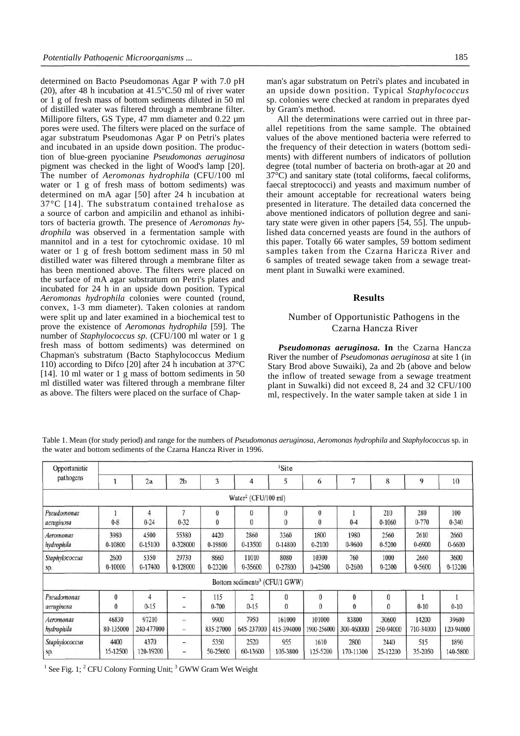determined on Bacto Pseudomonas Agar P with 7.0 pH (20), after 48 h incubation at 41.5°C.50 ml of river water or 1 g of fresh mass of bottom sediments diluted in 50 ml of distilled water was filtered through a membrane filter. Millipore filters, GS Type, 47 mm diameter and 0.22  $\mu$ m pores were used. The filters were placed on the surface of agar substratum Pseudomonas Agar P on Petri's plates and incubated in an upside down position. The production of blue-green pyocianine *Pseudomonas aeruginosa*  pigment was checked in the light of Wood's lamp [20]. The number of *Aeromonas hydrophila* (CFU/100 ml water or 1 g of fresh mass of bottom sediments) was determined on mA agar [50] after 24 h incubation at 37°C [14]. The substratum contained trehalose as a source of carbon and ampicilin and ethanol as inhibitors of bacteria growth. The presence of *Aeromonas hydrophila* was observed in a fermentation sample with mannitol and in a test for cytochromic oxidase. 10 ml water or 1 g of fresh bottom sediment mass in 50 ml distilled water was filtered through a membrane filter as has been mentioned above. The filters were placed on the surface of mA agar substratum on Petri's plates and incubated for 24 h in an upside down position. Typical *Aeromonas hydrophila* colonies were counted (round, convex, 1-3 mm diameter). Taken colonies at random were split up and later examined in a biochemical test to prove the existence of *Aeromonas hydrophila* [59]. The number of *Staphylococcus sp.* (CFU/100 ml water or 1 g fresh mass of bottom sediments) was determined on Chapman's substratum (Bacto Staphylococcus Medium 110) according to Difco [20] after 24 h incubation at 37°C [14]. 10 ml water or 1 g mass of bottom sediments in 50 ml distilled water was filtered through a membrane filter as above. The filters were placed on the surface of Chapman's agar substratum on Petri's plates and incubated in an upside down position. Typical *Staphylococcus*  sp. colonies were checked at random in preparates dyed by Gram's method.

All the determinations were carried out in three parallel repetitions from the same sample. The obtained values of the above mentioned bacteria were referred to the frequency of their detection in waters (bottom sediments) with different numbers of indicators of pollution degree (total number of bacteria on broth-agar at 20 and 37°C) and sanitary state (total coliforms, faecal coliforms, faecal streptococci) and yeasts and maximum number of their amount acceptable for recreational waters being presented in literature. The detailed data concerned the above mentioned indicators of pollution degree and sanitary state were given in other papers [54, 55]. The unpublished data concerned yeasts are found in the authors of this paper. Totally 66 water samples, 59 bottom sediment samples taken from the Czarna Haricza River and 6 samples of treated sewage taken from a sewage treatment plant in Suwalki were examined.

#### **Results**

## Number of Opportunistic Pathogens in the Czarna Hancza River

*Pseudomonas aeruginosa.* **In** the Czarna Hancza River the number of *Pseudomonas aeruginosa* at site 1 (in Stary Brod above Suwaiki), 2a and 2b (above and below the inflow of treated sewage from a sewage treatment plant in Suwalki) did not exceed 8, 24 and 32 CFU/100 ml, respectively. In the water sample taken at side 1 in

Table 1. Mean (for study period) and range for the numbers of *Pseudomonas aeruginosa, Aeromonas hydrophila* and *Staphylococcus* sp. in the water and bottom sediments of the Czarna Hancza River in 1996.

| Opportunistic<br>pathogens |                    | <sup>1</sup> Site   |                                   |                       |                                           |                            |                       |                              |                      |                    |                    |  |  |
|----------------------------|--------------------|---------------------|-----------------------------------|-----------------------|-------------------------------------------|----------------------------|-----------------------|------------------------------|----------------------|--------------------|--------------------|--|--|
|                            |                    | 2a                  | 2 <sub>b</sub>                    | 3                     | 4                                         | 5                          | 6                     | 7                            | 8                    | 9                  | 10                 |  |  |
|                            |                    |                     |                                   |                       | Water <sup>2</sup> (CFU/100 ml)           |                            |                       |                              |                      |                    |                    |  |  |
| Pseudomonas<br>aeruginosa  | $0 - 8$            | 4<br>$0 - 24$       | 7<br>$0 - 32$                     | $\boldsymbol{0}$<br>0 | $\boldsymbol{0}$<br>$\bf{0}$              | $\bf{0}$<br>$\bf{0}$       | $\bf{0}$<br>$\bf{0}$  | $0 - 4$                      | 210<br>$0-1060$      | 280<br>$0 - 770$   | 100<br>$0 - 340$   |  |  |
| Aeromonas<br>hydrophila    | 3980<br>0-10800    | 4500<br>0-15100     | 55380<br>0-328000                 | 4420<br>0-19800       | 2860<br>0-13500                           | 3360<br>0-14800            | 1800<br>0-2100        | 1980<br>0-9600               | 2560<br>0-5200       | 2610<br>0-6900     | 2660<br>0-6600     |  |  |
| Staphylococcus<br>sp.      | 2600<br>0-10000    | 5350<br>0-17400     | 29730<br>0-128000                 | 8660<br>0-23200       | 11010<br>0-35600                          | 8080<br>0-27800            | 10300<br>0-42500      | 760<br>0-2600                | 1000<br>0-2300       | 2660<br>0-5600     | 3600<br>0-13200    |  |  |
|                            |                    |                     |                                   |                       | Bottom sediments <sup>3</sup> (CFU/1 GWW) |                            |                       |                              |                      |                    |                    |  |  |
| Pseudomonas<br>aeruginosa  | $\bf{0}$<br>0      | 4<br>$0 - 15$       | ÷<br>÷                            | 115<br>$0 - 700$      | $\overline{c}$<br>$0 - 15$                | $\bf{0}$<br>$\overline{0}$ | $\bf{0}$<br>$\bf{0}$  | $\boldsymbol{0}$<br>$\bf{0}$ | $\bf{0}$<br>$\bf{0}$ | $0 - 10$           | $0 - 10$           |  |  |
| Aeromonas<br>hydrophila    | 46830<br>80-135000 | 97210<br>240-477000 | -<br>-                            | 9900<br>835-27000     | 7950<br>645-237000                        | 161000<br>415-394000       | 101000<br>1900-256000 | 83800<br>300-460000          | 30600<br>250-94000   | 14200<br>710-34000 | 39600<br>120-94000 |  |  |
| Staphylococcus<br>sp.      | 4400<br>15-12500   | 4370<br>120-19200   | ÷<br>$\qquad \qquad \blacksquare$ | 5350<br>50-25600      | 2520<br>60-13600                          | 955<br>105-3800            | 1610<br>125-5200      | 2800<br>170-11300            | 2440<br>25-12200     | 515<br>35-2050     | 1890<br>140-5800   |  |  |

<sup>1</sup> See Fig. 1; <sup>2</sup> CFU Colony Forming Unit; <sup>3</sup> GWW Gram Wet Weight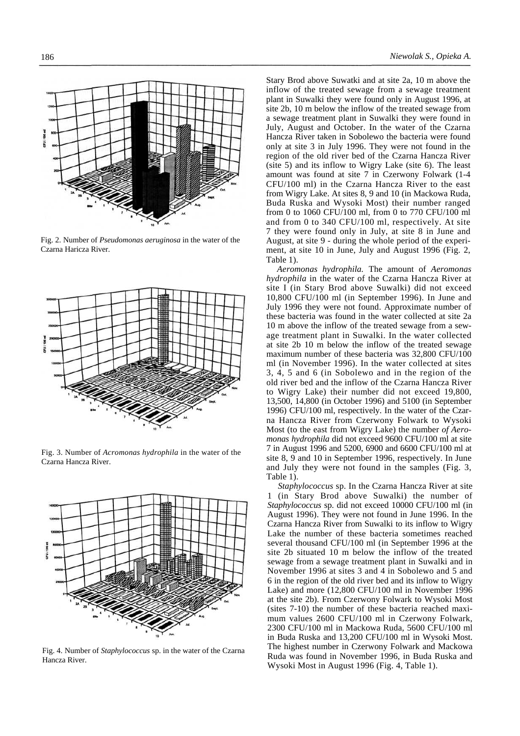

Fig. 2. Number of *Pseudomonas aeruginosa* in the water of the Czarna Haricza River.



Fig. 3. Number of *Acromonas hydrophila* in the water of the Czarna Hancza River.



Fig. 4. Number of *Staphylococcus* sp. in the water of the Czarna Hancza River.

Stary Brod above Suwatki and at site 2a, 10 m above the inflow of the treated sewage from a sewage treatment plant in Suwalki they were found only in August 1996, at site 2b, 10 m below the inflow of the treated sewage from a sewage treatment plant in Suwalki they were found in July, August and October. In the water of the Czarna Hancza River taken in Sobolewo the bacteria were found only at site 3 in July 1996. They were not found in the region of the old river bed of the Czarna Hancza River (site 5) and its inflow to Wigry Lake (site 6). The least amount was found at site 7 in Czerwony Folwark (1-4 CFU/100 ml) in the Czarna Hancza River to the east from Wigry Lake. At sites 8, 9 and 10 (in Mackowa Ruda, Buda Ruska and Wysoki Most) their number ranged from 0 to 1060 CFU/100 ml, from 0 to 770 CFU/100 ml and from 0 to 340 CFU/100 ml, respectively. At site 7 they were found only in July, at site 8 in June and August, at site 9 - during the whole period of the experiment, at site 10 in June, July and August 1996 (Fig. 2, Table 1).

*Aeromonas hydrophila.* The amount of *Aeromonas hydrophila* in the water of the Czarna Hancza River at site I (in Stary Brod above Suwalki) did not exceed 10,800 CFU/100 ml (in September 1996). In June and July 1996 they were not found. Approximate number of these bacteria was found in the water collected at site 2a 10 m above the inflow of the treated sewage from a sewage treatment plant in Suwalki. In the water collected at site 2b 10 m below the inflow of the treated sewage maximum number of these bacteria was 32,800 CFU/100 ml (in November 1996). In the water collected at sites 3, 4, 5 and 6 (in Sobolewo and in the region of the old river bed and the inflow of the Czarna Hancza River to Wigry Lake) their number did not exceed 19,800, 13,500, 14,800 (in October 1996) and 5100 (in September 1996) CFU/100 ml, respectively. In the water of the Czarna Hancza River from Czerwony Folwark to Wysoki Most (to the east from Wigry Lake) the number *of Aeromonas hydrophila* did not exceed 9600 CFU/100 ml at site 7 in August 1996 and 5200, 6900 and 6600 CFU/100 ml at site 8, 9 and 10 in September 1996, respectively. In June and July they were not found in the samples (Fig. 3, Table 1).

*Staphylococcus* sp. In the Czarna Hancza River at site 1 (in Stary Brod above Suwalki) the number of *Staphylococcus* sp. did not exceed 10000 CFU/100 ml (in August 1996). They were not found in June 1996. In the Czarna Hancza River from Suwalki to its inflow to Wigry Lake the number of these bacteria sometimes reached several thousand CFU/100 ml (in September 1996 at the site 2b situated 10 m below the inflow of the treated sewage from a sewage treatment plant in Suwalki and in November 1996 at sites 3 and 4 in Sobolewo and 5 and 6 in the region of the old river bed and its inflow to Wigry Lake) and more (12,800 CFU/100 ml in November 1996 at the site 2b). From Czerwony Folwark to Wysoki Most (sites 7-10) the number of these bacteria reached maximum values 2600 CFU/100 ml in Czerwony Folwark, 2300 CFU/100 ml in Mackowa Ruda, 5600 CFU/100 ml in Buda Ruska and 13,200 CFU/100 ml in Wysoki Most. The highest number in Czerwony Folwark and Mackowa Ruda was found in November 1996, in Buda Ruska and Wysoki Most in August 1996 (Fig. 4, Table 1).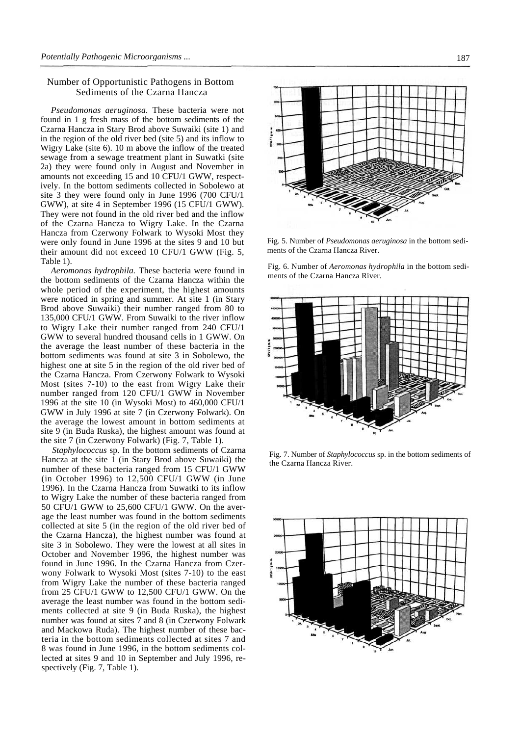## Number of Opportunistic Pathogens in Bottom Sediments of the Czarna Hancza

*Pseudomonas aeruginosa.* These bacteria were not found in 1 g fresh mass of the bottom sediments of the Czarna Hancza in Stary Brod above Suwaiki (site 1) and in the region of the old river bed (site 5) and its inflow to Wigry Lake (site 6). 10 m above the inflow of the treated sewage from a sewage treatment plant in Suwatki (site 2a) they were found only in August and November in amounts not exceeding 15 and 10 CFU/1 GWW, respectively. In the bottom sediments collected in Sobolewo at site 3 they were found only in June 1996 (700 CFU/1 GWW), at site 4 in September 1996 (15 CFU/1 GWW). They were not found in the old river bed and the inflow of the Czarna Hancza to Wigry Lake. In the Czarna Hancza from Czerwony Folwark to Wysoki Most they were only found in June 1996 at the sites 9 and 10 but their amount did not exceed 10 CFU/1 GWW (Fig. 5, Table 1).

*Aeromonas hydrophila.* These bacteria were found in the bottom sediments of the Czarna Hancza within the whole period of the experiment, the highest amounts were noticed in spring and summer. At site 1 (in Stary Brod above Suwaiki) their number ranged from 80 to 135,000 CFU/1 GWW. From Suwaiki to the river inflow to Wigry Lake their number ranged from 240 CFU/1 GWW to several hundred thousand cells in 1 GWW. On the average the least number of these bacteria in the bottom sediments was found at site 3 in Sobolewo, the highest one at site 5 in the region of the old river bed of the Czarna Hancza. From Czerwony Folwark to Wysoki Most (sites 7-10) to the east from Wigry Lake their number ranged from 120 CFU/1 GWW in November 1996 at the site 10 (in Wysoki Most) to 460,000 CFU/1 GWW in July 1996 at site 7 (in Czerwony Folwark). On the average the lowest amount in bottom sediments at site 9 (in Buda Ruska), the highest amount was found at the site 7 (in Czerwony Folwark) (Fig. 7, Table 1).

*Staphylococcus* sp. In the bottom sediments of Czarna Hancza at the site 1 (in Stary Brod above Suwaiki) the number of these bacteria ranged from 15 CFU/1 GWW (in October 1996) to 12,500 CFU/1 GWW (in June 1996). In the Czarna Hancza from Suwatki to its inflow to Wigry Lake the number of these bacteria ranged from 50 CFU/1 GWW to 25,600 CFU/1 GWW. On the average the least number was found in the bottom sediments collected at site 5 (in the region of the old river bed of the Czarna Hancza), the highest number was found at site 3 in Sobolewo. They were the lowest at all sites in October and November 1996, the highest number was found in June 1996. In the Czarna Hancza from Czerwony Folwark to Wysoki Most (sites 7-10) to the east from Wigry Lake the number of these bacteria ranged from 25 CFU/1 GWW to 12,500 CFU/1 GWW. On the average the least number was found in the bottom sediments collected at site 9 (in Buda Ruska), the highest number was found at sites 7 and 8 (in Czerwony Folwark and Mackowa Ruda). The highest number of these bacteria in the bottom sediments collected at sites 7 and 8 was found in June 1996, in the bottom sediments collected at sites 9 and 10 in September and July 1996, respectively (Fig. 7, Table 1).



Fig. 5. Number of *Pseudomonas aeruginosa* in the bottom sediments of the Czarna Hancza River.

Fig. 6. Number of *Aeromonas hydrophila* in the bottom sediments of the Czarna Hancza River.



Fig. 7. Number of *Staphylococcus* sp. in the bottom sediments of the Czarna Hancza River.

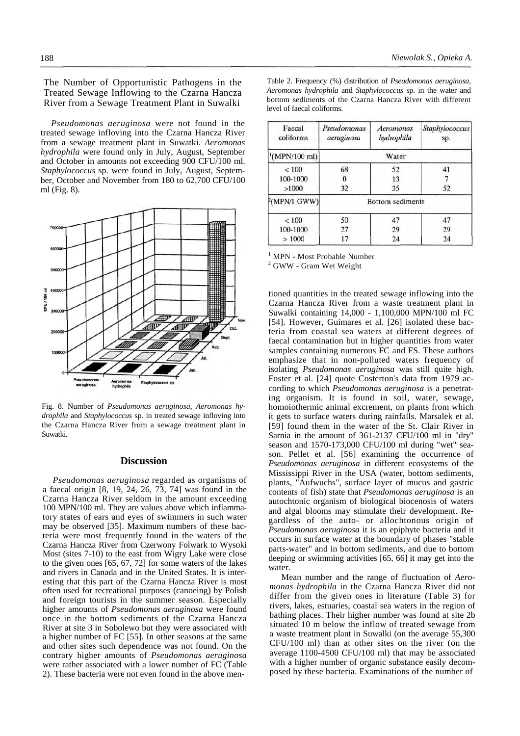The Number of Opportunistic Pathogens in the Treated Sewage Inflowing to the Czarna Hancza River from a Sewage Treatment Plant in Suwalki

*Pseudomonas aeruginosa* were not found in the treated sewage infloving into the Czarna Hancza River from a sewage treatment plant in Suwatki. *Aeromonas hydrophila* were found only in July, August, September and October in amounts not exceeding 900 CFU/100 ml. *Staphylococcus* sp. were found in July, August, September, October and November from 180 to 62,700 CFU/100 ml (Fig. 8).



Fig. 8. Number of *Pseudomonas aeruginosa, Aeromonas hydrophila* and *Staphylococcus* sp. in treated sewage infloving into the Czarna Hancza River from a sewage treatment plant in Suwatki.

#### **Discussion**

*Pseudomonas aeruginosa* regarded as organisms of a faecal origin [8, 19, 24, 26, 73, 74] was found in the Czarna Hancza River seldom in the amount exceeding 100 MPN/100 ml. They are values above which inflammatory states of ears and eyes of swimmers in such water may be observed [35]. Maximum numbers of these bacteria were most frequently found in the waters of the Czarna Hancza River from Czerwony Folwark to Wysoki Most (sites 7-10) to the east from Wigry Lake were close to the given ones [65, 67, 72] for some waters of the lakes and rivers in Canada and in the United States. It is interesting that this part of the Czarna Hancza River is most often used for recreational purposes (canoeing) by Polish and foreign tourists in the summer season. Especially higher amounts of *Pseudomonas aeruginosa* were found once in the bottom sediments of the Czarna Hancza River at site 3 in Sobolewo but they were associated with a higher number of FC [55]. In other seasons at the same and other sites such dependence was not found. On the contrary higher amounts of *Pseudomonas aeruginosa*  were rather associated with a lower number of FC (Table 2). These bacteria were not even found in the above menTable 2. Frequency (%) distribution of *Pseudomonas aeruginosa, Aeromonas hydrophila* and *Staphylococcus* sp. in the water and bottom sediments of the Czarna Hancza River with different level of faecal coliforms.

| Faecal<br>coliforms      | Pseudomonas<br>aeruginosa | Aeromonas<br>hydrophila | Staphylococcus<br>sp. |  |
|--------------------------|---------------------------|-------------------------|-----------------------|--|
| $^1(MPN/100 \text{ ml})$ |                           | Water                   |                       |  |
| < 100                    | 68                        | 52                      | 41                    |  |
| 100-1000                 | 0                         | 13                      |                       |  |
| >1000                    | 32                        | 35                      | 52                    |  |
| $P(MPN/1)$ GWW)          |                           | <b>Bottom</b> sediments |                       |  |
| ${}< 100$                | 50                        | 47                      | 47                    |  |
| 100-1000                 | 27                        | 29                      | 29                    |  |
| >1000                    | 17                        | 24                      | 24                    |  |

1 MPN - Most Probable Number

2 GWW - Gram Wet Weight

tioned quantities in the treated sewage inflowing into the Czarna Hancza River from a waste treatment plant in Suwalki containing 14,000 - 1,100,000 MPN/100 ml FC [54]. However, Guimares et al. [26] isolated these bacteria from coastal sea waters at different degrees of faecal contamination but in higher quantities from water samples containing numerous FC and FS. These authors emphasize that in non-polluted waters frequency of isolating *Pseudomonas aeruginosa* was still quite high. Foster et al. [24] quote Costerton's data from 1979 according to which *Pseudomonas aeruginosa* is a penetrating organism. It is found in soil, water, sewage, homoiothermic animal excrement, on plants from which it gets to surface waters during rainfalls. Marsalek et al. [59] found them in the water of the St. Clair River in Sarnia in the amount of 361-2137 CFU/100 ml in "dry" season and 1570-173,000 CFU/100 ml during "wet" season. Pellet et al. [56] examining the occurrence of *Pseudomonas aeruginosa* in different ecosystems of the Mississippi River in the USA (water, bottom sediments, plants, "Aufwuchs", surface layer of mucus and gastric contents of fish) state that *Pseudomonas aeruginosa* is an autochtonic organism of biological biocenosis of waters and algal blooms may stimulate their development. Regardless of the auto- or allochtonous origin of *Pseudomonas aeruginosa* it is an epiphyte bacteria and it occurs in surface water at the boundary of phases "stable parts-water" and in bottom sediments, and due to bottom deeping or swimming activities [65, 66] it may get into the water.

Mean number and the range of fluctuation of *Aeromonas hydrophila* in the Czarna Hancza River did not differ from the given ones in literature (Table 3) for rivers, lakes, estuaries, coastal sea waters in the region of bathing places. Their higher number was found at site 2b situated 10 m below the inflow of treated sewage from a waste treatment plant in Suwalki (on the average 55,300 CFU/100 ml) than at other sites on the river (on the average 1100-4500 CFU/100 ml) that may be associated with a higher number of organic substance easily decomposed by these bacteria. Examinations of the number of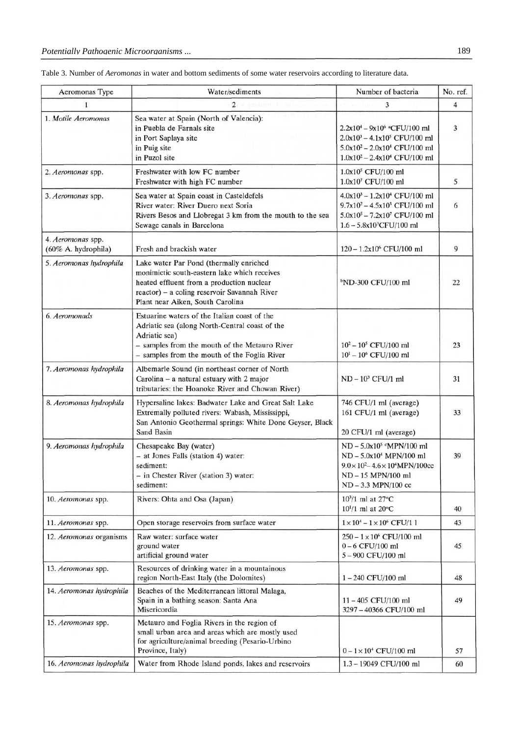| Aeromonas Type                           | Water/sediments                                                                                                                                                                                                          | Number of bacteria                                                                                                                                                                               | No. ref. |
|------------------------------------------|--------------------------------------------------------------------------------------------------------------------------------------------------------------------------------------------------------------------------|--------------------------------------------------------------------------------------------------------------------------------------------------------------------------------------------------|----------|
| 1                                        | $\overline{c}$                                                                                                                                                                                                           | 3                                                                                                                                                                                                | 4        |
| 1. Motile Aeromonas                      | Sea water at Spain (North of Valencia):<br>in Puebla de Farnals site<br>in Port Saplaya site<br>in Puig site<br>in Puzol site                                                                                            | 2.2x10 <sup>4</sup> - 9x10 <sup>6</sup> <sup>a</sup> CFU/100 ml<br>$2.0x10^3 - 4.1x10^5$ CFU/100 ml<br>$5.0x10^2 - 2.0x10^4$ CFU/100 ml<br>$1.0x10^2 - 2.4x10^4$ CFU/100 ml                      | 3        |
| 2. Aeromonas spp.                        | Freshwater with low FC number<br>Freshwater with high FC number                                                                                                                                                          | 1.0x10 <sup>5</sup> CFU/100 ml<br>1.0x107 CFU/100 ml                                                                                                                                             | 5        |
| 3. Aeromonas spp.                        | Sea water at Spain coast in Casteldefels<br>River water: River Duero next Soria<br>Rivers Besos and Llobregat 3 km from the mouth to the sea<br>Sewage canals in Barcelona                                               | $4.0x10^3 - 1.2x10^4$ CFU/100 ml<br>$9.7x10^2 - 4.5x10^3$ CFU/100 ml<br>$5.0x105 - 7.2x107$ CFU/100 ml<br>1.6 - 5.8x10 <sup>3</sup> CFU/100 ml                                                   | 6        |
| 4. Aeromonas spp.<br>(60% A. hydrophila) | Fresh and brackish water                                                                                                                                                                                                 | 120 - 1.2x10 <sup>6</sup> CFU/100 ml                                                                                                                                                             | 9        |
| 5. Aeromonas hydrophila                  | Lake water Par Pond (thermally enriched<br>monimictic south-eastern lake which receives<br>heated effluent from a production nuclear<br>reactor) - a coling reservoir Savannah River<br>Plant near Aiken, South Carolina | <sup>b</sup> ND-300 CFU/100 ml                                                                                                                                                                   | 22       |
| 6. Aeromonads                            | Estuarine waters of the Italian coast of the<br>Adriatic sea (along North-Central coast of the<br>Adriatic sea)<br>- samples from the mouth of the Metauro River<br>- samples from the mouth of the Foglia River         | $10^2 - 10^5$ CFU/100 ml<br>$10^1 - 10^6$ CFU/100 ml                                                                                                                                             | 23       |
| 7. Aeromonas hydrophila                  | Albemarle Sound (in northeast corner of North<br>Carolina - a natural estuary with 2 major<br>tributaries: the Hoanoke River and Chowan River)                                                                           | $ND - 103 CFU/1 ml$                                                                                                                                                                              | 31       |
| 8. Aeromonas hydrophila                  | Hypersaline lakes: Badwater Lake and Great Salt Lake<br>Extremally polluted rivers: Wabash, Mississippi,<br>San Antonio Geothermal springs: White Done Geyser, Black<br>Sand Basin                                       | 746 CFU/1 ml (average)<br>161 CFU/1 ml (average)<br>20 CFU/1 ml (average)                                                                                                                        | 33       |
| 9. Aeromonas hydrophila                  | Chesapeake Bay (water)<br>- at Jones Falls (station 4) water:<br>sediment:<br>- in Chester River (station 3) water:<br>sediment:                                                                                         | ND-5.0x10 <sup>5</sup> <sup>c</sup> MPN/100 ml<br>ND - 5.0x10 <sup>4</sup> MPN/100 ml<br>$9.0 \times 10^2 - 4.6 \times 10^4 \text{MPN}/100 \text{cc}$<br>ND-15 MPN/100 ml<br>ND - 3.3 MPN/100 cc | 39       |
| 10. Aeromonas spp.                       | Rivers: Ohta and Osa (Japan)                                                                                                                                                                                             | $10^{3}/1$ ml at $27^{\circ}$ C<br>$10^{1}/1$ ml at $20^{\circ}$ C                                                                                                                               | 40       |
| 11. Aeromonas spp.                       | Open storage reservoirs from surface water                                                                                                                                                                               | $1 \times 10^4 - 1 \times 10^6$ CFU/1 1                                                                                                                                                          | 43       |
| 12. Aeromonas organisms                  | Raw water: surface water<br>ground water<br>artificial ground water                                                                                                                                                      | $250 - 1 \times 10^6$ CFU/100 ml<br>$0 - 6$ CFU/100 ml<br>5-900 CFU/100 ml                                                                                                                       | 45       |
| 13. Aeromonas spp.                       | Resources of drinking water in a mountainous<br>region North-East Italy (the Dolomites)                                                                                                                                  | 1-240 CFU/100 ml                                                                                                                                                                                 | 48       |
| 14. Aeromonas hydrophila                 | Beaches of the Mediterranean littoral Malaga,<br>Spain in a bathing season: Santa Ana<br>Misericordia                                                                                                                    | 11-405 CFU/100 ml<br>3297 - 40366 CFU/100 ml                                                                                                                                                     | 49       |
| 15. Aeromonas spp.                       | Metauro and Foglia Rivers in the region of<br>small urban area and areas which are mostly used<br>for agriculture/animal breeding (Pesario-Urbino<br>Province, Italy)                                                    | $0 - 1 \times 10^4$ CFU/100 ml                                                                                                                                                                   | 57       |
| 16. Aeromonas hydrophila                 | Water from Rhode Island ponds, lakes and reservoirs                                                                                                                                                                      | 1.3 - 19049 CFU/100 ml                                                                                                                                                                           | 60       |

Table 3. Number of *Aeromonas* in water and bottom sediments of some water reservoirs according to literature data.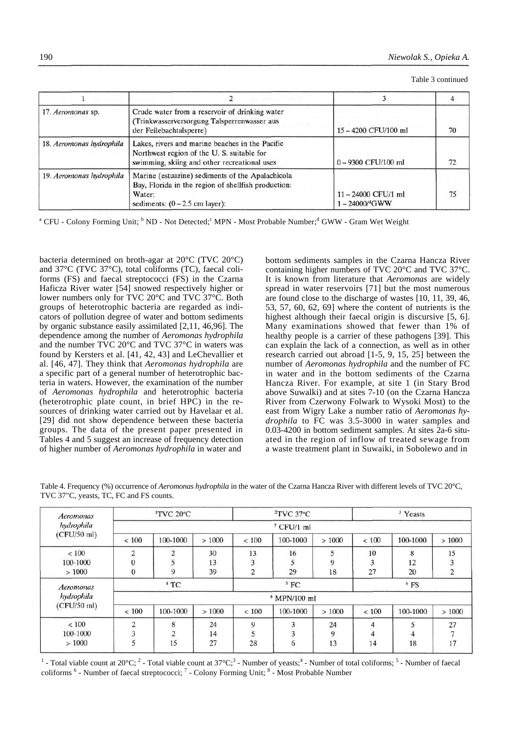| Table 3 continued |
|-------------------|
|-------------------|

| 17. Aeromonas sp.        | Crude water from a reservoir of drinking water<br>(Trinkwasserversorgung Talsperrenwasser aus<br>der Feilebachtalsperre)                              | 15-4200 CFU/100 ml                         | 70 |
|--------------------------|-------------------------------------------------------------------------------------------------------------------------------------------------------|--------------------------------------------|----|
| 18. Aeromonas hydrophila | Lakes, rivers and marine beaches in the Pacific<br>Northwest region of the U.S. suitable for<br>swimming, skiing and other recreational uses          | $0 - 9300$ CFU/100 ml                      | 72 |
| 19. Aeromonas hydrophila | Marine (estuarine) sediments of the Apalachicola<br>Bay, Florida in the region of shellfish production:<br>Water:<br>sediments: $(0 - 2.5$ cm layer): | $11 - 24000$ CFU/1 ml<br>$1 - 24000$ /dGWW | 75 |

<sup>a</sup> CFU - Colony Forming Unit; <sup>b</sup> ND - Not Detected;<sup>c</sup> MPN - Most Probable Number;<sup>d</sup> GWW - Gram Wet Weight

bacteria determined on broth-agar at 20°C (TVC 20°C) and 37°C (TVC 37°C), total coliforms (TC), faecal coliforms (FS) and faecal streptococci (FS) in the Czarna Haficza River water [54] snowed respectively higher or lower numbers only for TVC 20°C and TVC 37°C. Both groups of heterotrophic bacteria are regarded as indicators of pollution degree of water and bottom sediments by organic substance easily assimilated [2,11, 46,96]. The dependence among the number of *Aeromonas hydrophila*  and the number TVC 20°C and TVC 37°C in waters was found by Kersters et al. [41, 42, 43] and LeChevallier et al. [46, 47]. They think that *Aeromonas hydrophila* are a specific part of a general number of heterotrophic bacteria in waters. However, the examination of the number of *Aeromonas hydrophila* and heterotrophic bacteria (heterotrophic plate count, in brief HPC) in the resources of drinking water carried out by Havelaar et al. [29] did not show dependence between these bacteria groups. The data of the present paper presented in Tables 4 and 5 suggest an increase of frequency detection of higher number of *Aeromonas hydrophila* in water and

bottom sediments samples in the Czarna Hancza River containing higher numbers of TVC 20°C and TVC 37°C. It is known from literature that *Aeromonas* are widely spread in water reservoirs [71] but the most numerous are found close to the discharge of wastes [10, 11, 39, 46, 53, 57, 60, 62, 69] where the content of nutrients is the highest although their faecal origin is discursive [5, 6]. Many examinations showed that fewer than 1% of healthy people is a carrier of these pathogens [39]. This can explain the lack of a connection, as well as in other research carried out abroad [1-5, 9, 15, 25] between the number of *Aeromonas hydrophila* and the number of FC in water and in the bottom sediments of the Czarna Hancza River. For example, at site 1 (in Stary Brod above Suwalki) and at sites 7-10 (on the Czarna Hancza River from Czerwony Folwark to Wysoki Most) to the east from Wigry Lake a number ratio of *Aeromonas hydrophila* to FC was 3.5-3000 in water samples and 0.03-4200 in bottom sediment samples. At sites 2a-6 situated in the region of inflow of treated sewage from a waste treatment plant in Suwaiki, in Sobolewo and in

Table 4. Frequency (%) occurrence of *Aeromonas hydrophila* in the water of the Czarna Hancza River with different levels of TVC 20°C, TVC 37"C, yeasts, TC, FC and FS counts.

| Aeromonas                   | <sup>1</sup> TVC 20°C   |                |       | $2$ TVC 37 <sup>o</sup> C |                         |       | <sup>3</sup> Yeasts |          |                |
|-----------------------------|-------------------------|----------------|-------|---------------------------|-------------------------|-------|---------------------|----------|----------------|
| hydrophila<br>$(CFU/50$ ml) |                         |                |       |                           | $7$ CFU/1 ml            |       |                     |          |                |
|                             | ${}< 100$               | 100-1000       | >1000 | ${}< 100$                 | 100-1000                | >1000 | ${}< 100$           | 100-1000 | >1000          |
| < 100                       | $\overline{2}$          | $\overline{2}$ | 30    | 13                        | 16                      | 5     | 10                  | 8        | 15             |
| 100-1000                    | $\overline{0}$          |                | 13    | 3                         | 5                       | 9     | 3                   | 12       |                |
| >1000                       | $\bf{0}$                | 9              | 39    | $\overline{2}$            | 29                      | 18    | 27                  | 20       | $\overline{c}$ |
| Aeromonas                   | $4$ TC                  |                |       | 5 F C                     |                         |       | $6$ FS              |          |                |
| hydrophila                  | <sup>8</sup> MPN/100 ml |                |       |                           |                         |       |                     |          |                |
| (CFU/50 ml)                 | < 100                   | 100-1000       | >1000 | < 100                     | 100-1000                | >1000 | < 100               | 100-1000 | >1000          |
| < 100                       | 2                       | 8              | 24    | 9                         | 3                       | 24    | 4                   | 5        | 27             |
| 100-1000                    |                         | $\Delta$       | 14    | 5                         | $\overline{\mathbf{3}}$ | 9     | $\overline{4}$      | 4        |                |
| >1000                       | 5                       | 15             | 27    | 28                        | $\overline{6}$          | 13    | 14                  | 18       | 17             |

<sup>1</sup> - Total viable count at 20 $^{\circ}$ C; <sup>2</sup> - Total viable count at 37 $^{\circ}$ C; <sup>3</sup> - Number of yeasts; <sup>4</sup> - Number of total coliforms; <sup>5</sup> - Number of faecal coliforms <sup>6</sup> - Number of faecal streptococci; <sup>7</sup> - Colony Forming Unit; <sup>8</sup> - Most Probable Number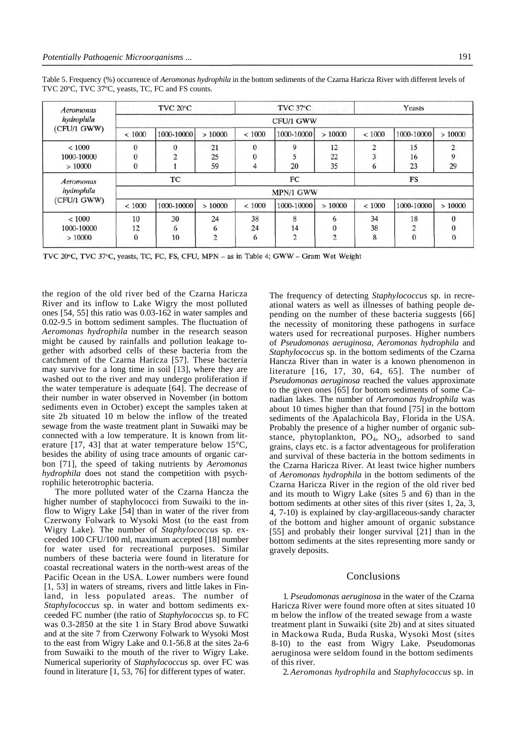| Aeromonas                 | TVC 20°C       |            |                | TVC 37°C     |                |                | Yeasts         |                |        |  |
|---------------------------|----------------|------------|----------------|--------------|----------------|----------------|----------------|----------------|--------|--|
| hydrophila<br>(CFU/1 GWW) | CFU/1 GWW      |            |                |              |                |                |                |                |        |  |
|                           | < 1000         | 1000-10000 | >10000         | < 1000       | 1000-10000     | >10000         | < 1000         | 1000-10000     | >10000 |  |
| ${}< 1000$                | $\bf{0}$       | $\Omega$   | 21             | $\mathbf{0}$ | 9              | 12             | $\overline{c}$ | 15             |        |  |
| 1000-10000                | $\overline{0}$ | ∍          | 25             | $\Omega$     |                | 22             | 3              | 16             |        |  |
| >10000                    | $\bf{0}$       |            | 59             | 4            | 20             | 35             | 6              | 23             | 29     |  |
| Aeromonas<br>hydrophila   | TC             |            |                | FC           |                |                | FS             |                |        |  |
|                           | MPN/1 GWW      |            |                |              |                |                |                |                |        |  |
| (CFU/1 GWW)               | < 1000         | 1000-10000 | >10000         | ${}< 1000$   | 1000-10000     | >10000         | ${}_{< 1000}$  | 1000-10000     | >10000 |  |
| ${}_{< 1000}$             | 10             | 30         | 24             | 38           | 8              | 6              | 34             | 18             |        |  |
| 1000-10000                | 12             | 6          | 6              | 24           | 14             | $\theta$       | 38             | $\overline{2}$ |        |  |
| >10000                    | $\mathbf{0}$   | 10         | $\overline{c}$ | 6            | $\overline{2}$ | $\overline{2}$ | 8              | $\mathbf{0}$   |        |  |

Table 5. Frequency (%) occurrence of *Aeromonas hydrophila* in the bottom sediments of the Czarna Haricza River with different levels of TVC 20ºC, TVC 37ºC, yeasts, TC, FC and FS counts.

TVC 20°C, TVC 37°C, yeasts, TC, FC, FS, CFU, MPN - as in Table 4; GWW - Gram Wet Weight

the region of the old river bed of the Czarna Haricza River and its inflow to Lake Wigry the most polluted ones [54, 55] this ratio was 0.03-162 in water samples and 0.02-9.5 in bottom sediment samples. The fluctuation of *Aeromonas hydrophila* number in the research season might be caused by rainfalls and pollution leakage together with adsorbed cells of these bacteria from the catchment of the Czarna Haricza [57]. These bacteria may survive for a long time in soil [13], where they are washed out to the river and may undergo proliferation if the water temperature is adequate [64]. The decrease of their number in water observed in November (in bottom sediments even in October) except the samples taken at site 2b situated 10 m below the inflow of the treated sewage from the waste treatment plant in Suwaiki may be connected with a low temperature. It is known from literature [17, 43] that at water temperature below 15°C, besides the ability of using trace amounts of organic carbon [71], the speed of taking nutrients by *Aeromonas hydrophila* does not stand the competition with psychrophilic heterotrophic bacteria.

The more polluted water of the Czarna Hancza the higher number of staphylococci from Suwaiki to the inflow to Wigry Lake [54] than in water of the river from Czerwony Folwark to Wysoki Most (to the east from Wigry Lake). The number of *Staphylococcus* sp. exceeded 100 CFU/100 ml, maximum accepted [18] number for water used for recreational purposes. Similar numbers of these bacteria were found in literature for coastal recreational waters in the north-west areas of the Pacific Ocean in the USA. Lower numbers were found [1, 53] in waters of streams, rivers and little lakes in Finland, in less populated areas. The number of *Staphylococcus* sp. in water and bottom sediments exceeded FC number (the ratio of *Staphylococcus* sp. to FC was 0.3-2850 at the site 1 in Stary Brod above Suwatki and at the site 7 from Czerwony Folwark to Wysoki Most to the east from Wigry Lake and 0.1-56.8 at the sites 2a-6 from Suwaiki to the mouth of the river to Wigry Lake. Numerical superiority of *Staphylococcus* sp. over FC was found in literature [1, 53, 76] for different types of water.

The frequency of detecting *Staphylococcus* sp. in recreational waters as well as illnesses of bathing people depending on the number of these bacteria suggests [66] the necessity of monitoring these pathogens in surface waters used for recreational purposes. Higher numbers of *Pseudomonas aeruginosa, Aeromonas hydrophila* and *Staphylococcus* sp. in the bottom sediments of the Czarna Hancza River than in water is a known phenomenon in literature [16, 17, 30, 64, 65]. The number of *Pseudomonas aeruginosa* reached the values approximate to the given ones [65] for bottom sediments of some Canadian lakes. The number of *Aeromonas hydrophila* was about 10 times higher than that found [75] in the bottom sediments of the Apalachicola Bay, Florida in the USA. Probably the presence of a higher number of organic substance, phytoplankton,  $PO_4$ ,  $NO_3$ , adsorbed to sand grains, clays etc. is a factor adventageous for proliferation and survival of these bacteria in the bottom sediments in the Czarna Haricza River. At least twice higher numbers of *Aeromonas hydrophila* in the bottom sediments of the Czarna Haricza River in the region of the old river bed and its mouth to Wigry Lake (sites 5 and 6) than in the bottom sediments at other sites of this river (sites 1, 2a, 3, 4, 7-10) is explained by clay-argillaceous-sandy character of the bottom and higher amount of organic substance [55] and probably their longer survival [21] than in the bottom sediments at the sites representing more sandy or gravely deposits.

#### Conclusions

1. *Pseudomonas aeruginosa* in the water of the Czarna Haricza River were found more often at sites situated 10 m below the inflow of the treated sewage from a waste treatment plant in Suwaiki (site 2b) and at sites situated in Mackowa Ruda, Buda Ruska, Wysoki Most (sites 8-10) to the east from Wigry Lake. Pseudomonas aeruginosa were seldom found in the bottom sediments of this river.

2. *Aeromonas hydrophila* and *Staphylococcus* sp. in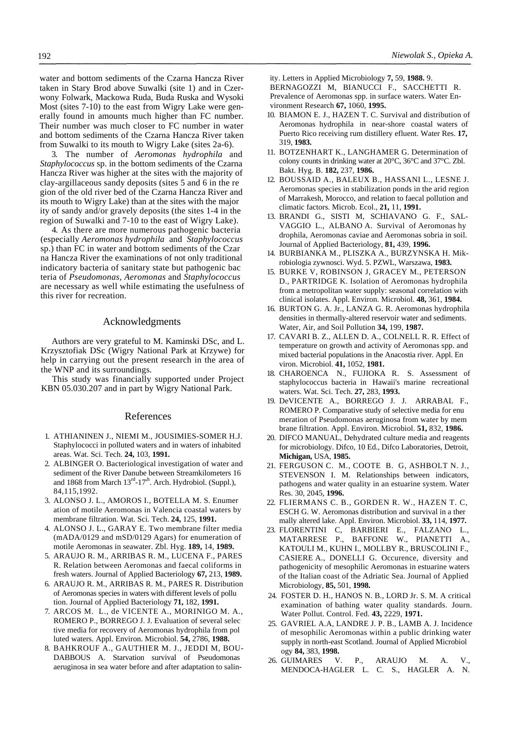water and bottom sediments of the Czarna Hancza River taken in Stary Brod above Suwalki (site 1) and in Czerwony Folwark, Mackowa Ruda, Buda Ruska and Wysoki Most (sites 7-10) to the east from Wigry Lake were generally found in amounts much higher than FC number. Their number was much closer to FC number in water and bottom sediments of the Czarna Hancza River taken from Suwalki to its mouth to Wigry Lake (sites 2a-6).

3. The number of *Aeromonas hydrophila* and *Staphylococcus* sp. in the bottom sediments of the Czarna Hancza River was higher at the sites with the majority of clay-argillaceous sandy deposits (sites 5 and 6 in the re gion of the old river bed of the Czarna Hancza River and its mouth to Wigry Lake) than at the sites with the major ity of sandy and/or gravely deposits (the sites 1-4 in the region of Suwalki and 7-10 to the east of Wigry Lake).

4. As there are more numerous pathogenic bacteria (especially *Aeromonas hydrophila* and *Staphylococcus*  sp.) than FC in water and bottom sediments of the Czar na Hancza River the examinations of not only traditional indicatory bacteria of sanitary state but pathogenic bac teria of *Pseudomonas, Aeromonas* and *Staphylococcus*  are necessary as well while estimating the usefulness of this river for recreation.

## Acknowledgments

Authors are very grateful to M. Kaminski DSc, and L. Krzysztofiak DSc (Wigry National Park at Krzywe) for help in carrying out the present research in the area of the WNP and its surroundings.

This study was financially supported under Project KBN 05.030.207 and in part by Wigry National Park.

## References

- 1. ATHIANINEN J., NIEMI M., JOUSIMIES-SOMER H.J. Staphylococci in polluted waters and in waters of inhabited areas. Wat. Sci. Tech. **24,** 103, **1991.**
- 2. ALBINGER O. Bacteriological investigation of water and sediment of the River Danube between Streamkilometers 16 and 1868 from March 13<sup>rd</sup>-17<sup>th</sup>. Arch. Hydrobiol. (Suppl.), 84,115,1992.
- 3. ALONSO J. L., AMOROS I., BOTELLA M. S. Enumer ation of motile Aeromonas in Valencia coastal waters by membrane filtration. Wat. Sci. Tech. **24,** 125, **1991.**
- 4. ALONSO J. L., GARAY E. Two membrane filter media (mADA/0129 and mSD/0129 Agars) for enumeration of motile Aeromonas in seawater. Zbl. Hyg. **189,** 14, **1989.**
- 5. ARAUJO R. M., ARRIBAS R. M., LUCENA F., PARES R. Relation between Aeromonas and faecal coliforms in fresh waters. Journal of Applied Bacteriology **67,** 213, **1989.**
- 6. ARAUJO R. M., ARRIBAS R. M., PARES R. Distribution of Aeromonas species in waters with different levels of pollu tion. Journal of Applied Bacteriology **71,** 182, **1991.**
- 7. ARCOS M. L., de VICENTE A., MORINIGO M. A., ROMERO P., BORREGO J. J. Evaluation of several selec tive media for recovery of Aeromonas hydrophila from pol luted waters. Appl. Environ. Microbiol. **54,** 2786, **1988.**
- 8. BAHKROUF A., GAUTHIER M. J., JEDDI M, BOU-DABBOUS A. Starvation survival of Pseudomonas aeruginosa in sea water before and after adaptation to salin-

ity. Letters in Applied Microbiology **7,** 59, **1988.** 9.

BERNAGOZZI M, BIANUCCI F., SACCHETTI R. Prevalence of Aeromonas spp. in surface waters. Water Environment Research **67,** 1060, **1995.**

- 10. BIAMON E. J., HAZEN T. C. Survival and distribution of Aeromonas hydrophila in near-shore coastal waters of Puerto Rico receiving rum distillery efluent. Water Res. **17,**  319, **1983.**
- 11. BOTZENHART K., LANGHAMER G. Determination of colony counts in drinking water at 20°C, 36°C and 37°C. Zbl. Bakt. Hyg. B. **182,** 237, **1986.**
- 12. BOUSSAID A., BALEUX B., HASSANI L., LESNE J. Aeromonas species in stabilization ponds in the arid region of Marrakesh, Morocco, and relation to faecal pollution and climatic factors. Microb. Ecol., **21,** 11, **1991.**
- 13. BRANDI G., SISTI M, SCHIAVANO G. F., SAL-VAGGIO L., ALBANO A. Survival of Aeromonas hy drophila, Aeromonas caviae and Aeromonas sobria in soil. Journal of Applied Bacteriology, **81,** 439, **1996.**
- 14. BURBIANKA M., PLISZKA A., BURZYNSKA H. Mikrobiologia zywnosci. Wyd. 5. PZWL, Warszawa, **1983.**
- 15. BURKE V, ROBINSON J, GRACEY M., PETERSON D., PARTRIDGE K. Isolation of Aeromonas hydrophila from a metropolitan water supply: seasonal correlation with clinical isolates. Appl. Environ. Microbiol. **48,** 361, **1984.**
- 16. BURTON G. A. Jr., LANZA G. R. Aeromonas hydrophila densities in thermally-altered reservoir water and sediments. Water, Air, and Soil Pollution **34,** 199, **1987.**
- 17. CAVARI B. Z., ALLEN D. A., COLNELL R. R. Effect of temperature on growth and activity of Aeromonas spp. and mixed bacterial populations in the Anacostia river. Appl. En viron. Microbiol. **41,** 1052, **1981.**
- 18. CHAROENCA N., FUJIOKA R. S. Assessment of staphylococcus bacteria in Hawaii's marine recreational waters. Wat. Sci. Tech. **27,** 283, **1993.**
- 19. DeVICENTE A., BORREGO J. J. ARRABAL F., ROMERO P. Comparative study of selective media for enu meration of Pseudomonas aeruginosa from water by mem brane filtration. Appl. Environ. Microbiol. **51,** 832, **1986.**
- 20. DIFCO MANUAL, Dehydrated culture media and reagents for microbiology. Difco, 10 Ed., Difco Laboratories, Detroit, **Michigan,** USA, **1985.**
- 21. FERGUSON C. M., COOTE B. G, ASHBOLT N. J., STEVENSON I. M. Relationships between indicators, pathogens and water quality in an estuarine system. Water Res. 30, 2045, **1996.**
- 22. FLIERMANS C. B., GORDEN R. W., HAZEN T. C, ESCH G. W. Aeromonas distribution and survival in a ther mally altered lake. Appl. Environ. Microbiol. **33,** 114, **1977.**
- 23. FLORENTINI C, BARBIERI E., FALZANO L., MATARRESE P., BAFFONE W., PIANETTI A., KATOULI M., KUHN I., MOLLBY R., BRUSCOLINI F., CASIERE A., DONELLI G. Occurence, diversity and pathogenicity of mesophilic Aeromonas in estuarine waters of the Italian coast of the Adriatic Sea. Journal of Applied Microbiology, **85,** 501, **1998.**
- 24. FOSTER D. H., HANOS N. B., LORD Jr. S. M. A critical examination of bathing water quality standards. Journ. Water Pollut. Control. Fed. **43,** 2229, **1971.**
- 25. GAVRIEL A.A, LANDRE J. P. B., LAMB A. J. Incidence of mesophilic Aeromonas within a public drinking water supply in north-east Scotland. Journal of Applied Microbiol ogy **84,** 383, **1998.**
- 26. GUIMARES V. P., ARAUJO M. A. V., MENDOCA-HAGLER L. C. S., HAGLER A. N.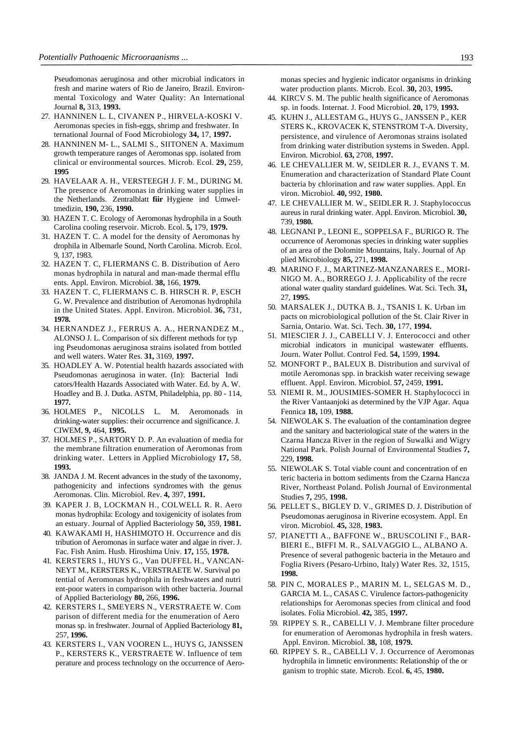Pseudomonas aeruginosa and other microbial indicators in fresh and marine waters of Rio de Janeiro, Brazil. Environmental Toxicology and Water Quality: An International Journal **8,** 313, **1993.**

- 27. HANNINEN L. L, CIVANEN P., HIRVELA-KOSKI V. Aeromonas species in fish-eggs, shrimp and freshwater. In ternational Journal of Food Microbiology **34,** 17, **1997.**
- 28. HANNINEN M- L., SALMI S., SIITONEN A. Maximum growth temperature ranges of Aeromonas spp. isolated from clinical or environmental sources. Microb. Ecol. **29,** 259, **1995**
- 29. HAVELAAR A. H., VERSTEEGH J. F. M., DURING M. The presence of Aeromonas in drinking water supplies in the Netherlands. Zentralblatt **fiir** Hygiene ind Umweltmedizin, **190,** 236, **1990.**
- 30. HAZEN T. C. Ecology of Aeromonas hydrophila in a South Carolina cooling reservoir. Microb. Ecol. **5,** 179, **1979.**
- 31. HAZEN T. C. A model for the density of Aeromonas hy drophila in Albemarle Sound, North Carolina. Microb. Ecol. 9, 137, 1983.
- 32. HAZEN T. C, FLIERMANS C. B. Distribution of Aero monas hydrophila in natural and man-made thermal efflu ents. Appl. Environ. Microbiol. **38,** 166, **1979.**
- 33. HAZEN T. C, FLIERMANS C. B. HIRSCH R. P, ESCH G. W. Prevalence and distribution of Aeromonas hydrophila in the United States. Appl. Environ. Microbiol. **36,** 731, **1978.**
- 34. HERNANDEZ J., FERRUS A. A., HERNANDEZ M., ALONSO J. L. Comparison of six different methods for typ ing Pseudomonas aeruginosa strains isolated from bottled and well waters. Water Res. **31,** 3169, **1997.**
- 35. HOADLEY A. W. Potential health hazards associated with Pseudomonas aeruginosa in water. (In): Bacterial Indi cators/Health Hazards Associated with Water. Ed. by A. W. Hoadley and B. J. Dutka. ASTM, Philadelphia, pp. 80 - 114, **1977.**
- 36. HOLMES P., NICOLLS L. M. Aeromonads in drinking-water supplies: their occurrence and significance. J. CIWEM, **9,** 464, **1995.**
- 37. HOLMES P., SARTORY D. P. An evaluation of media for the membrane filtration enumeration of Aeromonas from drinking water. Letters in Applied Microbiology **17,** 58, **1993.**
- 38. JANDA J. M. Recent advances in the study of the taxonomy, pathogenicity and infections syndromes with the genus Aeromonas. Clin. Microbiol. Rev. **4,** 397, **1991.**
- 39. KAPER J. B, LOCKMAN H., COLWELL R. R. Aero monas hydrophila: Ecology and toxigenicity of isolates from an estuary. Journal of Applied Bacteriology **50,** 359, **1981.**
- 40. KAWAKAMI H, HASHIMOTO H. Occurrence and dis tribution of Aeromonas in surface water and algae in river. J. Fac. Fish Anim. Husb. Hiroshima Univ. **17,** 155, **1978.**
- 41. KERSTERS I., HUYS G., Van DUFFEL H., VANCAN-NEYT M., KERSTERS K., VERSTRAETE W. Survival po tential of Aeromonas hydrophila in freshwaters and nutri ent-poor waters in comparison with other bacteria. Journal of Applied Bacteriology **80,** 266, **1996.**
- 42. KERSTERS I., SMEYERS N., VERSTRAETE W. Com parison of different media for the enumeration of Aero monas sp. in freshwater. Journal of Applied Bacteriology **81,**  257, **1996.**
- 43. KERSTERS I., VAN VOOREN L., HUYS G, JANSSEN P., KERSTERS K., VERSTRAETE W. Influence of tem perature and process technology on the occurrence of Aero-

monas species and hygienic indicator organisms in drinking water production plants. Microb. Ecol. **30,** 203, **1995.**

- 44. KIRCV S. M. The public health significance of Aeromonas sp. in foods. Internat. J. Food Microbiol. **20,** 179, **1993.**
- 45. KUHN J., ALLESTAM G., HUYS G., JANSSEN P., KER STERS K., KROVACEK K, STENSTROM T-A. Diversity, persistence, and virulence of Aeromonas strains isolated from drinking water distribution systems in Sweden. Appl. Environ. Microbiol. **63,** 2708, **1997.**
- 46. LE CHEVALLIER M. W, SEIDLER R. J., EVANS T. M. Enumeration and characterization of Standard Plate Count bacteria by chlorination and raw water supplies. Appl. En viron. Microbiol. **40,** 992, **1980.**
- 47. LE CHEVALLIER M. W., SEIDLER R. J. Staphylococcus aureus in rural drinking water. Appl. Environ. Microbiol. **30,**  739, **1980.**
- 48. LEGNANI P., LEONI E., SOPPELSA F., BURIGO R. The occurrence of Aeromonas species in drinking water supplies of an area of the Dolomite Mountains, Italy. Journal of Ap plied Microbiology **85,** 271, **1998.**
- 49. MARINO F. J., MARTINEZ-MANZANARES E., MORI-NIGO M. A., BORREGO J. J. Applicability of the recre ational water quality standard guidelines. Wat. Sci. Tech. **31,**  27, **1995.**
- 50. MARSALEK J., DUTKA B. J., TSANIS I. K. Urban im pacts on microbiological pollution of the St. Clair River in Sarnia, Ontario. Wat. Sci. Tech. **30,** 177, **1994.**
- 51. MIESCIER J. J., CABELLI V. J. Enterococci and other microbial indicators in municipal wastewater effluents. Journ. Water Pollut. Control Fed. **54,** 1599, **1994.**
- 52. MONFORT P., BALEUX B. Distribution and survival of motile Aeromonas spp. in brackish water receiving sewage effluent. Appl. Environ. Microbiol. **57,** 2459, **1991.**
- 53. NIEMI R. M., JOUSIMIES-SOMER H. Staphylococci in the River Vantaanjoki as determined by the VJP Agar. Aqua Fennica **18,** 109, **1988.**
- 54. NIEWOLAK S. The evaluation of the contamination degree and the sanitary and bacteriological state of the waters in the Czarna Hancza River in the region of Suwalki and Wigry National Park. Polish Journal of Environmental Studies **7,**  229, **1998.**
- 55. NIEWOLAK S. Total viable count and concentration of en teric bacteria in bottom sediments from the Czarna Hancza River, Northeast Poland. Polish Journal of Environmental Studies **7,** 295, **1998.**
- 56. PELLET S., BIGLEY D. V., GRIMES D. J. Distribution of Pseudomonas aeruginosa in Riverine ecosystem. Appl. En viron. Microbiol. **45,** 328, **1983.**
- 57. PIANETTI A., BAFFONE W., BRUSCOLINI F., BAR-BIERI E., BIFFI M. R., SALVAGGIO L., ALBANO A. Presence of several pathogenic bacteria in the Metauro and Foglia Rivers (Pesaro-Urbino, Italy) Water Res. 32, 1515, **1998.**
- 58. PIN C, MORALES P., MARIN M. L, SELGAS M. D., GARCIA M. L., CASAS C. Virulence factors-pathogenicity relationships for Aeromonas species from clinical and food isolates. Folia Microbiol. **42,** 385, **1997.**
- 59. RIPPEY S. R., CABELLI V. J. Membrane filter procedure for enumeration of Aeromonas hydrophila in fresh waters. Appl. Environ. Microbiol. **38,** 108, **1979.**
- 60. RIPPEY S. R., CABELLI V. J. Occurrence of Aeromonas hydrophila in limnetic environments: Relationship of the or ganism to trophic state. Microb. Ecol. **6,** 45, **1980.**